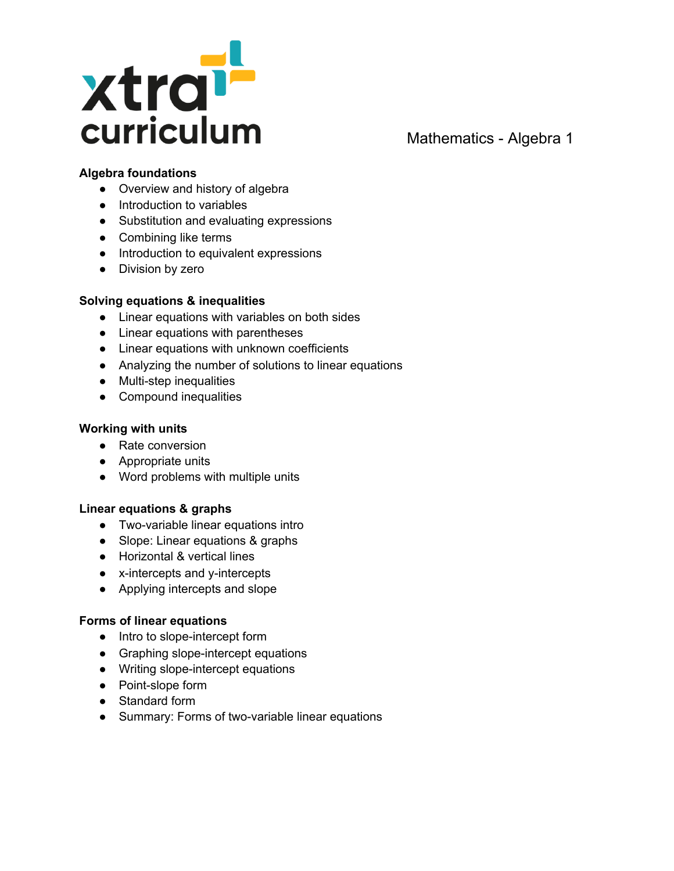

# **Algebra foundations**

- Overview and history of algebra
- Introduction to variables
- Substitution and evaluating expressions
- Combining like terms
- Introduction to equivalent expressions
- Division by zero

# **Solving equations & inequalities**

- Linear equations with variables on both sides
- Linear equations with parentheses
- Linear equations with unknown coefficients
- Analyzing the number of solutions to linear equations
- Multi-step inequalities
- Compound inequalities

### **Working with units**

- Rate conversion
- Appropriate units
- Word problems with multiple units

#### **Linear equations & graphs**

- Two-variable linear equations intro
- Slope: Linear equations & graphs
- Horizontal & vertical lines
- x-intercepts and y-intercepts
- Applying intercepts and slope

#### **Forms of linear equations**

- Intro to slope-intercept form
- Graphing slope-intercept equations
- Writing slope-intercept equations
- Point-slope form
- Standard form
- Summary: Forms of two-variable linear equations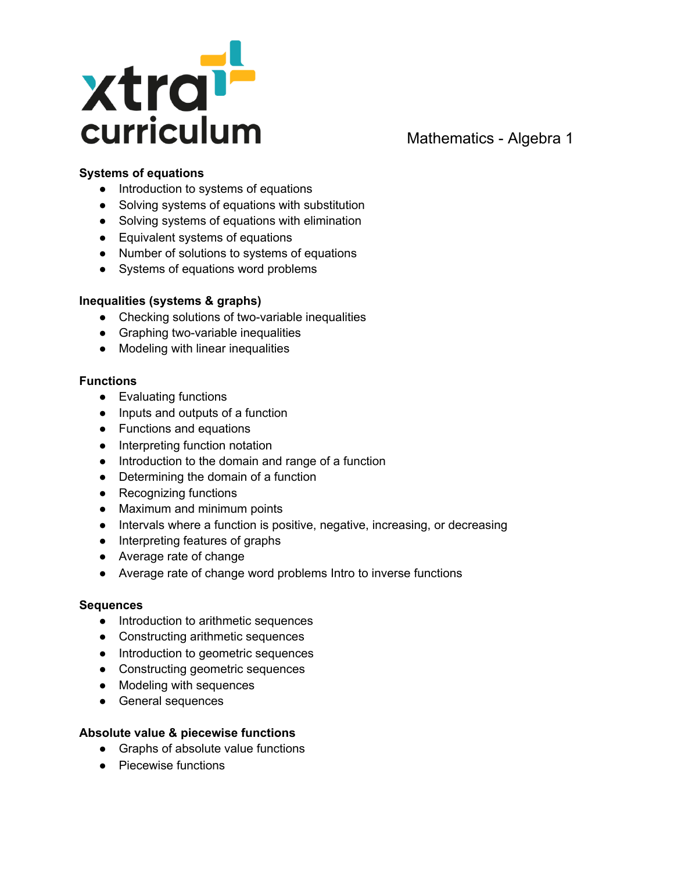

# **Systems of equations**

- Introduction to systems of equations
- Solving systems of equations with substitution
- Solving systems of equations with elimination
- Equivalent systems of equations
- Number of solutions to systems of equations
- Systems of equations word problems

# **Inequalities (systems & graphs)**

- Checking solutions of two-variable inequalities
- Graphing two-variable inequalities
- Modeling with linear inequalities

#### **Functions**

- Evaluating functions
- Inputs and outputs of a function
- Functions and equations
- Interpreting function notation
- Introduction to the domain and range of a function
- Determining the domain of a function
- Recognizing functions
- Maximum and minimum points
- Intervals where a function is positive, negative, increasing, or decreasing
- Interpreting features of graphs
- Average rate of change
- Average rate of change word problems Intro to inverse functions

# **Sequences**

- Introduction to arithmetic sequences
- Constructing arithmetic sequences
- Introduction to geometric sequences
- Constructing geometric sequences
- Modeling with sequences
- General sequences

# **Absolute value & piecewise functions**

- Graphs of absolute value functions
- Piecewise functions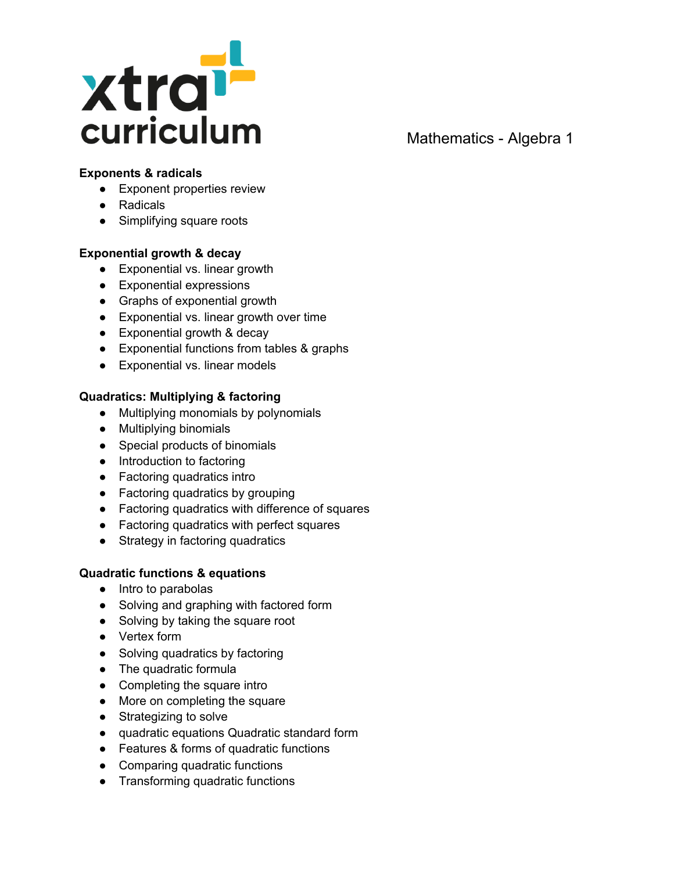

# **Exponents & radicals**

- Exponent properties review
- Radicals
- Simplifying square roots

# **Exponential growth & decay**

- Exponential vs. linear growth
- Exponential expressions
- Graphs of exponential growth
- Exponential vs. linear growth over time
- Exponential growth & decay
- Exponential functions from tables & graphs
- Exponential vs. linear models

# **Quadratics: Multiplying & factoring**

- Multiplying monomials by polynomials
- Multiplying binomials
- Special products of binomials
- Introduction to factoring
- Factoring quadratics intro
- Factoring quadratics by grouping
- Factoring quadratics with difference of squares
- Factoring quadratics with perfect squares
- Strategy in factoring quadratics

# **Quadratic functions & equations**

- Intro to parabolas
- Solving and graphing with factored form
- Solving by taking the square root
- Vertex form
- Solving quadratics by factoring
- The quadratic formula
- Completing the square intro
- More on completing the square
- Strategizing to solve
- quadratic equations Quadratic standard form
- Features & forms of quadratic functions
- Comparing quadratic functions
- Transforming quadratic functions